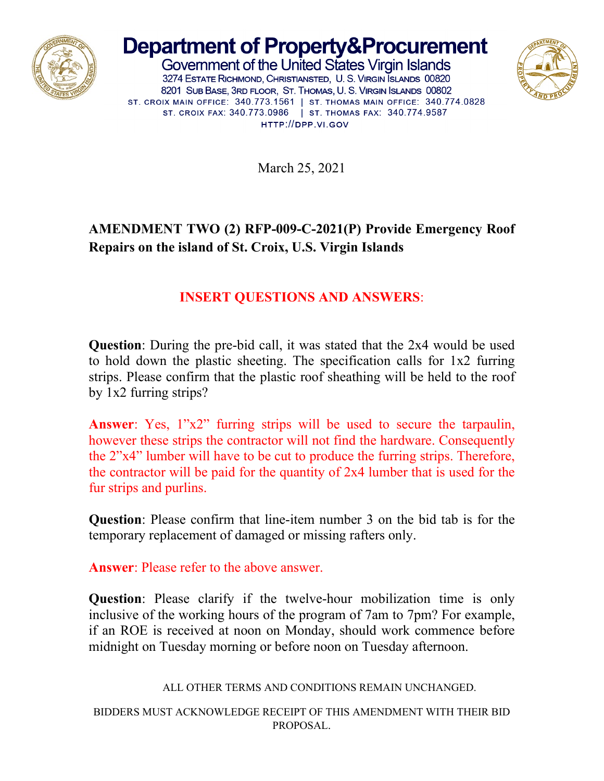

## **Department of Property&Procurement**

Government of the United States Virgin Islands 3274 ESTATE RICHMOND, CHRISTIANSTED, U. S. VIRGIN SLANDS 00820 8201 SUB BASE, 3RD FLOOR, ST. THOMAS, U. S. VIRGIN ISLANDS 00802 ST. CROIX MAIN OFFICE: 340.773.1561 | ST. THOMAS MAIN OFFICE: 340.774.0828 ST. CROIX FAX: 340.773.0986 | ST. THOMAS FAX: 340.774.9587 HTTP://DPP.VI.GOV



March 25, 2021

## **AMENDMENT TWO (2) RFP-009-C-2021(P) Provide Emergency Roof Repairs on the island of St. Croix, U.S. Virgin Islands**

## **INSERT QUESTIONS AND ANSWERS**:

**Question**: During the pre-bid call, it was stated that the 2x4 would be used to hold down the plastic sheeting. The specification calls for 1x2 furring strips. Please confirm that the plastic roof sheathing will be held to the roof by 1x2 furring strips?

**Answer**: Yes, 1"x2" furring strips will be used to secure the tarpaulin, however these strips the contractor will not find the hardware. Consequently the 2"x4" lumber will have to be cut to produce the furring strips. Therefore, the contractor will be paid for the quantity of 2x4 lumber that is used for the fur strips and purlins.

**Question**: Please confirm that line-item number 3 on the bid tab is for the temporary replacement of damaged or missing rafters only.

**Answer**: Please refer to the above answer.

**Question**: Please clarify if the twelve-hour mobilization time is only inclusive of the working hours of the program of 7am to 7pm? For example, if an ROE is received at noon on Monday, should work commence before midnight on Tuesday morning or before noon on Tuesday afternoon.

ALL OTHER TERMS AND CONDITIONS REMAIN UNCHANGED.

BIDDERS MUST ACKNOWLEDGE RECEIPT OF THIS AMENDMENT WITH THEIR BID PROPOSAL.